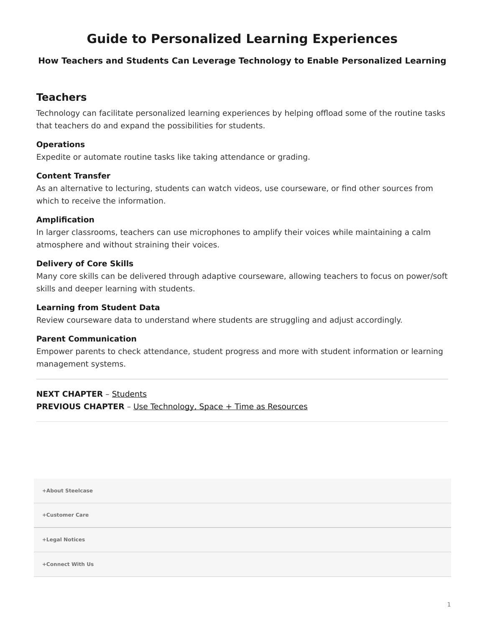# <span id="page-0-0"></span>**Guide to Personalized Learning Experiences**

### **How Teachers and Students Can Leverage Technology to Enable Personalized Learning**

# **Teachers**

Technology can facilitate personalized learning experiences by helping offload some of the routine tasks that teachers do and expand the possibilities for students.

#### **Operations**

Expedite or automate routine tasks like taking attendance or grading.

#### **Content Transfer**

As an alternative to lecturing, students can watch videos, use courseware, or find other sources from which to receive the information.

#### **Amplification**

In larger classrooms, teachers can use microphones to amplify their voices while maintaining a calm atmosphere and without straining their voices.

#### **Delivery of Core Skills**

Many core skills can be delivered through adaptive courseware, allowing teachers to focus on power/soft skills and deeper learning with students.

#### **Learning from Student Data**

Review courseware data to understand where students are struggling and adjust accordingly.

#### **Parent Communication**

Empower parents to check attendance, student progress and more with student information or learning management systems.

## **NEXT CHAPTER** – [Students](https://www.steelcase.com/research/articles/guide-personalized-learning-experiences-students/) **PREVIOUS CHAPTER** - [Use Technology, Space + Time as Resources](https://www.steelcase.com/research/articles/guide-personalized-learning-experiences-resources/)

**[+About Steelcase](https://www.steelcase.com/discover/steelcase/our-company/)**

**[+Customer Care](#page-0-0)**

**[+Legal Notices](#page-0-0)**

**[Connect With Us](https://www.steelcase.com/find-us/social-media/) [+](https://www.steelcase.com/find-us/social-media/)**